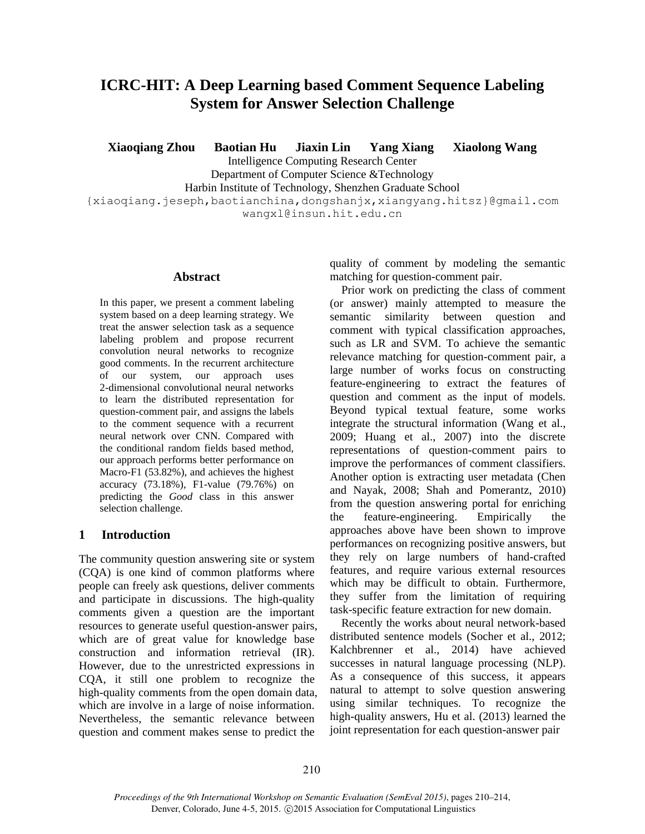# **ICRC-HIT: A Deep Learning based Comment Sequence Labeling System for Answer Selection Challenge**

**Xiaoqiang Zhou Baotian Hu Jiaxin Lin Yang Xiang Xiaolong Wang**

Intelligence Computing Research Center

Department of Computer Science &Technology

Harbin Institute of Technology, Shenzhen Graduate School

{xiaoqiang.jeseph,baotianchina,dongshanjx,xiangyang.hitsz}@gmail.com wangxl@insun.hit.edu.cn

#### **Abstract**

In this paper, we present a comment labeling system based on a deep learning strategy. We treat the answer selection task as a sequence labeling problem and propose recurrent convolution neural networks to recognize good comments. In the recurrent architecture of our system, our approach uses 2-dimensional convolutional neural networks to learn the distributed representation for question-comment pair, and assigns the labels to the comment sequence with a recurrent neural network over CNN. Compared with the conditional random fields based method, our approach performs better performance on Macro-F1 (53.82%), and achieves the highest accuracy (73.18%), F1-value (79.76%) on predicting the *Good* class in this answer selection challenge.

## **1 Introduction**

The community question answering site or system (CQA) is one kind of common platforms where people can freely ask questions, deliver comments and participate in discussions. The high-quality comments given a question are the important resources to generate useful question-answer pairs, which are of great value for knowledge base construction and information retrieval (IR). However, due to the unrestricted expressions in CQA, it still one problem to recognize the high-quality comments from the open domain data, which are involve in a large of noise information. Nevertheless, the semantic relevance between question and comment makes sense to predict the

quality of comment by modeling the semantic matching for question-comment pair.

Prior work on predicting the class of comment (or answer) mainly attempted to measure the semantic similarity between question and comment with typical classification approaches, such as LR and SVM. To achieve the semantic relevance matching for question-comment pair, a large number of works focus on constructing feature-engineering to extract the features of question and comment as the input of models. Beyond typical textual feature, some works integrate the structural information (Wang et al., 2009; Huang et al., 2007) into the discrete representations of question-comment pairs to improve the performances of comment classifiers. Another option is extracting user metadata (Chen and Nayak, 2008; Shah and Pomerantz, 2010) from the question answering portal for enriching the feature-engineering. Empirically the approaches above have been shown to improve performances on recognizing positive answers, but they rely on large numbers of hand-crafted features, and require various external resources which may be difficult to obtain. Furthermore, they suffer from the limitation of requiring task-specific feature extraction for new domain.

Recently the works about neural network-based distributed sentence models (Socher et al., 2012; Kalchbrenner et al., 2014) have achieved successes in natural language processing (NLP). As a consequence of this success, it appears natural to attempt to solve question answering using similar techniques. To recognize the high-quality answers, Hu et al. (2013) learned the joint representation for each question-answer pair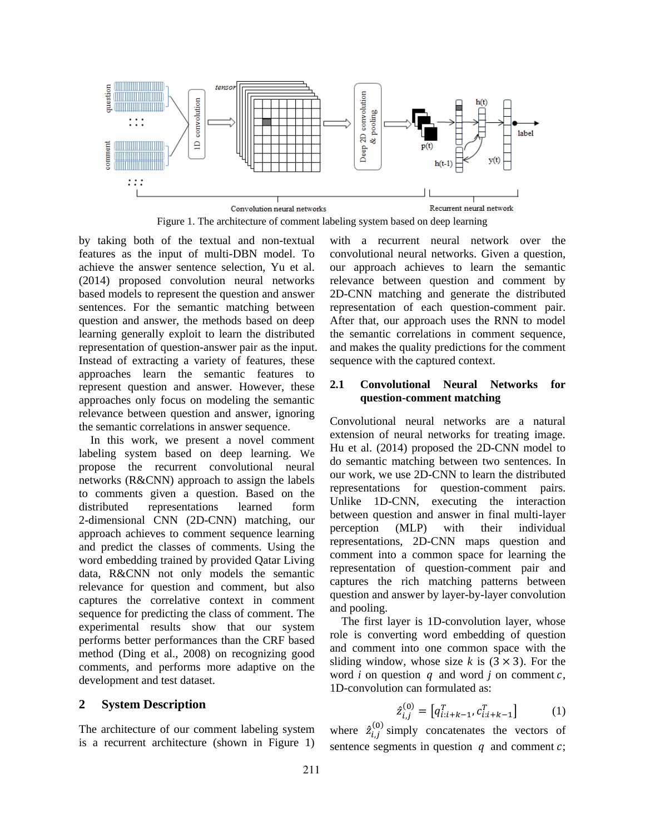

Figure 1. The architecture of comment labeling system based on deep learning

by taking both of the textual and non-textual features as the input of multi-DBN model. To achieve the answer sentence selection, Yu et al. (2014) proposed convolution neural networks based models to represent the question and answer sentences. For the semantic matching between question and answer, the methods based on deep learning generally exploit to learn the distributed representation of question-answer pair as the input. Instead of extracting a variety of features, these approaches learn the semantic features to represent question and answer. However, these approaches only focus on modeling the semantic relevance between question and answer, ignoring the semantic correlations in answer sequence.

In this work, we present a novel comment labeling system based on deep learning. We propose the recurrent convolutional neural networks (R&CNN) approach to assign the labels to comments given a question. Based on the distributed representations learned form 2-dimensional CNN (2D-CNN) matching, our approach achieves to comment sequence learning and predict the classes of comments. Using the word embedding trained by provided Qatar Living data, R&CNN not only models the semantic relevance for question and comment, but also captures the correlative context in comment sequence for predicting the class of comment. The experimental results show that our system performs better performances than the CRF based method (Ding et al., 2008) on recognizing good comments, and performs more adaptive on the development and test dataset.

## **2 System Description**

The architecture of our comment labeling system is a recurrent architecture (shown in Figure 1) with a recurrent neural network over the convolutional neural networks. Given a question, our approach achieves to learn the semantic relevance between question and comment by 2D-CNN matching and generate the distributed representation of each question-comment pair. After that, our approach uses the RNN to model the semantic correlations in comment sequence, and makes the quality predictions for the comment sequence with the captured context.

## **2.1 Convolutional Neural Networks for question-comment matching**

Convolutional neural networks are a natural extension of neural networks for treating image. Hu et al. (2014) proposed the 2D-CNN model to do semantic matching between two sentences. In our work, we use 2D-CNN to learn the distributed representations for question-comment pairs. Unlike 1D-CNN, executing the interaction between question and answer in final multi-layer perception (MLP) with their individual representations, 2D-CNN maps question and comment into a common space for learning the representation of question-comment pair and captures the rich matching patterns between question and answer by layer-by-layer convolution and pooling.

The first layer is 1D-convolution layer, whose role is converting word embedding of question and comment into one common space with the sliding window, whose size  $k$  is  $(3 \times 3)$ . For the word *i* on question  $q$  and word *j* on comment  $c$ , 1D-convolution can formulated as:

$$
\hat{z}_{i,j}^{(0)} = [q_{i:i+k-1}^T, c_{i:i+k-1}^T] \tag{1}
$$

where  $\hat{z}_{i,j}^{(0)}$  $_{i}^{(0)}$  simply concatenates the vectors of sentence segments in question  $q$  and comment  $c$ ;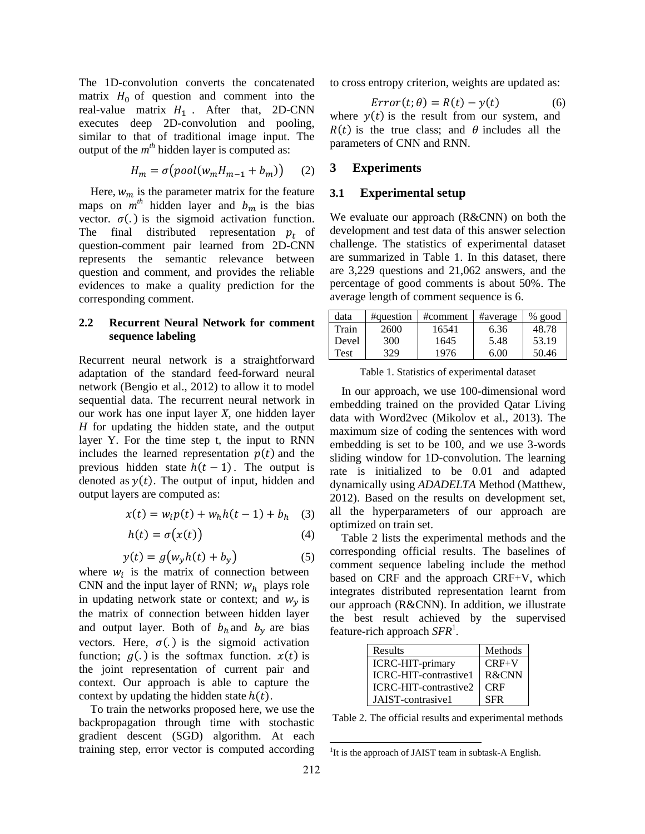The 1D-convolution converts the concatenated matrix  $H_0$  of question and comment into the real-value matrix  $H_1$ . After that, 2D-CNN executes deep 2D-convolution and pooling, similar to that of traditional image input. The output of the  $m<sup>th</sup>$  hidden layer is computed as:

$$
H_m = \sigma(pool(w_m H_{m-1} + b_m)) \qquad (2)
$$

Here,  $w_m$  is the parameter matrix for the feature maps on  $m<sup>th</sup>$  hidden layer and  $b_m$  is the bias vector.  $\sigma(.)$  is the sigmoid activation function. The final distributed representation  $p_t$  of question-comment pair learned from 2D-CNN represents the semantic relevance between question and comment, and provides the reliable evidences to make a quality prediction for the corresponding comment.

## **2.2 Recurrent Neural Network for comment sequence labeling**

Recurrent neural network is a straightforward adaptation of the standard feed-forward neural network (Bengio et al., 2012) to allow it to model sequential data. The recurrent neural network in our work has one input layer *X*, one hidden layer *H* for updating the hidden state, and the output layer Y. For the time step t, the input to RNN includes the learned representation  $p(t)$  and the previous hidden state  $h(t-1)$ . The output is denoted as  $y(t)$ . The output of input, hidden and output layers are computed as:

$$
x(t) = w_i p(t) + w_h h(t - 1) + b_h \quad (3)
$$

$$
h(t) = \sigma(x(t))
$$
 (4)

$$
y(t) = g(w_y h(t) + b_y)
$$
 (5)

where  $w_i$  is the matrix of connection between CNN and the input layer of RNN;  $w_h$  plays role in updating network state or context; and  $w<sub>v</sub>$  is the matrix of connection between hidden layer and output layer. Both of  $b_h$  and  $b_v$  are bias vectors. Here,  $\sigma(.)$  is the sigmoid activation function;  $q(.)$  is the softmax function.  $x(t)$  is the joint representation of current pair and context. Our approach is able to capture the context by updating the hidden state  $h(t)$ .

To train the networks proposed here, we use the backpropagation through time with stochastic gradient descent (SGD) algorithm. At each training step, error vector is computed according to cross entropy criterion, weights are updated as:

$$
Error(t; \theta) = R(t) - y(t) \tag{6}
$$

where  $y(t)$  is the result from our system, and  $R(t)$  is the true class; and  $\theta$  includes all the parameters of CNN and RNN.

## **3 Experiments**

#### **3.1 Experimental setup**

We evaluate our approach (R&CNN) on both the development and test data of this answer selection challenge. The statistics of experimental dataset are summarized in Table 1. In this dataset, there are 3,229 questions and 21,062 answers, and the percentage of good comments is about 50%. The average length of comment sequence is 6.

| data  | #question | #comment | #average | $%$ good |
|-------|-----------|----------|----------|----------|
| Train | 2600      | 16541    | 6.36     | 48.78    |
| Devel | 300       | 1645     | 5.48     | 53.19    |
| Test  | 329       | 1976     | 6.00     | 50.46    |

Table 1. Statistics of experimental dataset

In our approach, we use 100-dimensional word embedding trained on the provided Qatar Living data with Word2vec (Mikolov et al., 2013). The maximum size of coding the sentences with word embedding is set to be 100, and we use 3-words sliding window for 1D-convolution. The learning rate is initialized to be 0.01 and adapted dynamically using *ADADELTA* Method (Matthew, 2012). Based on the results on development set, all the hyperparameters of our approach are optimized on train set.

Table 2 lists the experimental methods and the corresponding official results. The baselines of comment sequence labeling include the method based on CRF and the approach CRF+V, which integrates distributed representation learnt from our approach (R&CNN). In addition, we illustrate the best result achieved by the supervised feature-rich approach SFR<sup>1</sup>.

| Results               | Methods    |
|-----------------------|------------|
| ICRC-HIT-primary      | $CRF+V$    |
| ICRC-HIT-contrastive1 | R&CNN      |
| ICRC-HIT-contrastive2 | <b>CRF</b> |
| JAIST-contrasive1     | <b>SFR</b> |

Table 2. The official results and experimental methods

 $\overline{a}$ 

<sup>&</sup>lt;sup>1</sup>It is the approach of JAIST team in subtask-A English.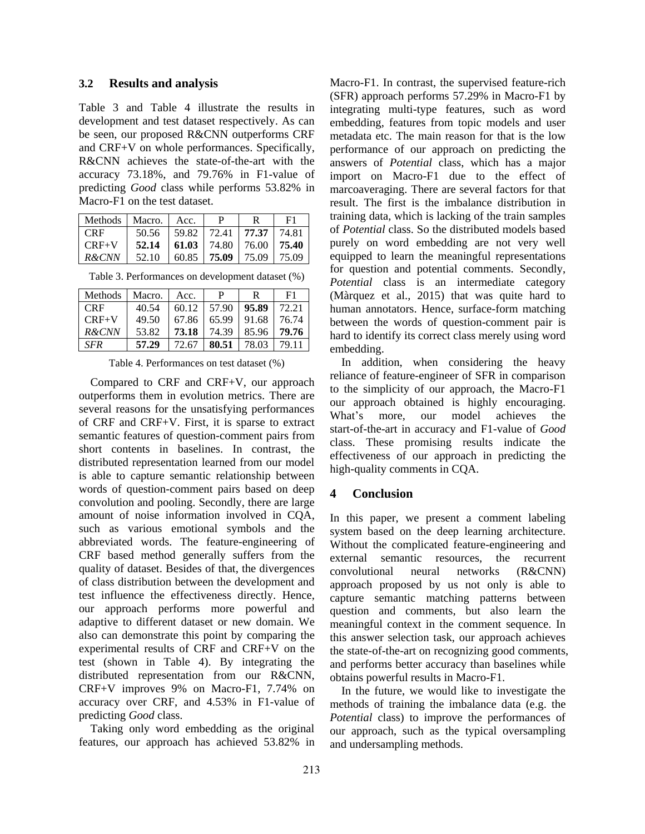#### **3.2 Results and analysis**

Table 3 and Table 4 illustrate the results in development and test dataset respectively. As can be seen, our proposed R&CNN outperforms CRF and CRF+V on whole performances. Specifically, R&CNN achieves the state-of-the-art with the accuracy 73.18%, and 79.76% in F1-value of predicting *Good* class while performs 53.82% in Macro-F1 on the test dataset.

| Methods   Macro.   Acc. |                                                                                                       | P | F <sub>1</sub>                               |
|-------------------------|-------------------------------------------------------------------------------------------------------|---|----------------------------------------------|
| - CRF                   |                                                                                                       |   | 50.56   59.82   72.41   <b>77.37</b>   74.81 |
| $CRF+V$                 | $\textbf{52.14} \mid \textbf{61.03} \mid \textbf{74.80} \mid \textbf{76.00} \mid \textbf{75.40} \mid$ |   |                                              |
| <i>R&amp;CNN</i>        | $52.10$   60.85   <b>75.09</b>   75.09   75.09                                                        |   |                                              |

Table 3. Performances on development dataset (%)

| Methods    | Macro. | Acc.  | P       | R     | F1    |
|------------|--------|-------|---------|-------|-------|
| <b>CRF</b> | 40.54  | 60.12 | 1,57.90 | 95.89 | 72.21 |
| $CRF+V$    | 49.50  | 67.86 | 65.99   | 91.68 | 76.74 |
| $R\&CNN$   | 53.82  | 73.18 | 74.39   | 85.96 | 79.76 |
| <b>SFR</b> | 57.29  | 72.67 | 80.51   | 78.03 | 79.11 |

Table 4. Performances on test dataset (%)

Compared to CRF and CRF+V, our approach outperforms them in evolution metrics. There are several reasons for the unsatisfying performances of CRF and CRF+V. First, it is sparse to extract semantic features of question-comment pairs from short contents in baselines. In contrast, the distributed representation learned from our model is able to capture semantic relationship between words of question-comment pairs based on deep convolution and pooling. Secondly, there are large amount of noise information involved in CQA, such as various emotional symbols and the abbreviated words. The feature-engineering of CRF based method generally suffers from the quality of dataset. Besides of that, the divergences of class distribution between the development and test influence the effectiveness directly. Hence, our approach performs more powerful and adaptive to different dataset or new domain. We also can demonstrate this point by comparing the experimental results of CRF and CRF+V on the test (shown in Table 4). By integrating the distributed representation from our R&CNN, CRF+V improves 9% on Macro-F1, 7.74% on accuracy over CRF, and 4.53% in F1-value of predicting *Good* class.

Taking only word embedding as the original features, our approach has achieved 53.82% in Macro-F1. In contrast, the supervised feature-rich (SFR) approach performs 57.29% in Macro-F1 by integrating multi-type features, such as word embedding, features from topic models and user metadata etc. The main reason for that is the low performance of our approach on predicting the answers of *Potential* class, which has a major import on Macro-F1 due to the effect of marcoaveraging. There are several factors for that result. The first is the imbalance distribution in training data, which is lacking of the train samples of *Potential* class. So the distributed models based purely on word embedding are not very well equipped to learn the meaningful representations for question and potential comments. Secondly, *Potential* class is an intermediate category (Màrquez et al., 2015) that was quite hard to human annotators. Hence, surface-form matching between the words of question-comment pair is hard to identify its correct class merely using word embedding.

In addition, when considering the heavy reliance of feature-engineer of SFR in comparison to the simplicity of our approach, the Macro-F1 our approach obtained is highly encouraging. What's more, our model achieves the start-of-the-art in accuracy and F1-value of *Good* class. These promising results indicate the effectiveness of our approach in predicting the high-quality comments in CQA.

### **4 Conclusion**

In this paper, we present a comment labeling system based on the deep learning architecture. Without the complicated feature-engineering and external semantic resources, the recurrent convolutional neural networks (R&CNN) approach proposed by us not only is able to capture semantic matching patterns between question and comments, but also learn the meaningful context in the comment sequence. In this answer selection task, our approach achieves the state-of-the-art on recognizing good comments, and performs better accuracy than baselines while obtains powerful results in Macro-F1.

In the future, we would like to investigate the methods of training the imbalance data (e.g. the *Potential* class) to improve the performances of our approach, such as the typical oversampling and undersampling methods.